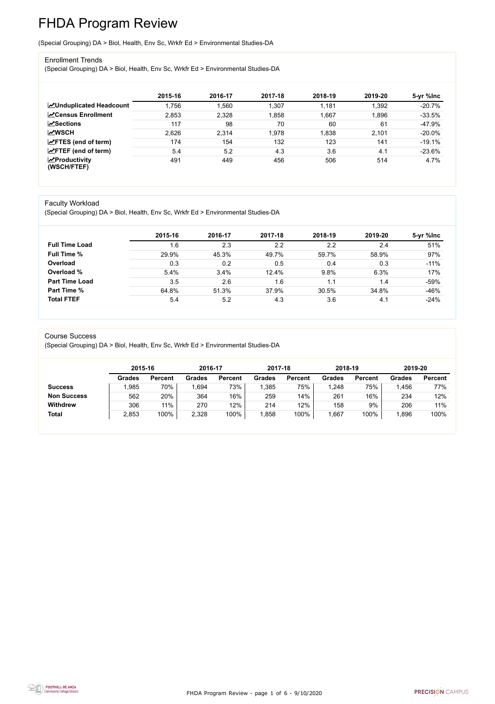FHDA Program Review - page 1 of 6 - 9/10/2020



# FHDA Program Review

(Special Grouping) DA > Biol, Health, Env Sc, Wrkfr Ed > Environmental Studies-DA

#### Enrollment Trends

(Special Grouping) DA > Biol, Health, Env Sc, Wrkfr Ed > Environmental Studies-DA

|                                                  | 2015-16 | 2016-17 | 2017-18 | 2018-19 | 2019-20 | 5-yr %lnc |
|--------------------------------------------------|---------|---------|---------|---------|---------|-----------|
| <b>ZUnduplicated Headcount</b>                   | 1,756   | .560    | 1,307   | 1,181   | 1,392   | $-20.7%$  |
| <b>∠</b> Census Enrollment                       | 2,853   | 2,328   | 1,858   | 1,667   | 1,896   | $-33.5%$  |
| <b>ZSections</b>                                 | 117     | 98      | 70      | 60      | 61      | -47.9%    |
| <b>MWSCH</b>                                     | 2,626   | 2,314   | 1,978   | 1,838   | 2,101   | $-20.0\%$ |
| $\angle$ FTES (end of term)                      | 174     | 154     | 132     | 123     | 141     | $-19.1%$  |
| $\angle$ FTEF (end of term)                      | 5.4     | 5.2     | 4.3     | 3.6     | 4.1     | $-23.6%$  |
| $\sqrt{\frac{1}{2}}$ Productivity<br>(WSCH/FTEF) | 491     | 449     | 456     | 506     | 514     | 4.7%      |

#### Faculty Workload

(Special Grouping) DA > Biol, Health, Env Sc, Wrkfr Ed > Environmental Studies-DA

|                       | 2015-16 | 2016-17 | 2017-18 | 2018-19 | 2019-20 | 5-yr %lnc |
|-----------------------|---------|---------|---------|---------|---------|-----------|
| <b>Full Time Load</b> | 1.6     | 2.3     | 2.2     | 2.2     | 2.4     | 51%       |
| <b>Full Time %</b>    | 29.9%   | 45.3%   | 49.7%   | 59.7%   | 58.9%   | 97%       |
| Overload              | 0.3     | 0.2     | 0.5     | 0.4     | 0.3     | $-11%$    |
| Overload %            | 5.4%    | 3.4%    | 12.4%   | 9.8%    | 6.3%    | 17%       |
| <b>Part Time Load</b> | 3.5     | 2.6     | 1.6     | .1      | 1.4     | $-59%$    |
| <b>Part Time %</b>    | 64.8%   | 51.3%   | 37.9%   | 30.5%   | 34.8%   | $-46%$    |
| <b>Total FTEF</b>     | 5.4     | 5.2     | 4.3     | 3.6     | 4.1     | $-24%$    |

#### Course Success

(Special Grouping) DA > Biol, Health, Env Sc, Wrkfr Ed > Environmental Studies-DA

|                    |               | 2015-16        |               | 2016-17        | 2017-18       |                | 2018-19       |                | 2019-20       |                |
|--------------------|---------------|----------------|---------------|----------------|---------------|----------------|---------------|----------------|---------------|----------------|
|                    | <b>Grades</b> | <b>Percent</b> | <b>Grades</b> | <b>Percent</b> | <b>Grades</b> | <b>Percent</b> | <b>Grades</b> | <b>Percent</b> | <b>Grades</b> | <b>Percent</b> |
| <b>Success</b>     | ,985          | 70%            | .694          | 73%            | ,385          | 75%            | ,248          | 75%            | .456          | 77%            |
| <b>Non Success</b> | 562           | 20%            | 364           | 16%            | 259           | 14%            | 261           | 16%            | 234           | 12%            |
| <b>Withdrew</b>    | 306           | 11%            | 270           | 12%            | 214           | 12%            | 158           | 9%             | 206           | 11%            |
| <b>Total</b>       | 2,853         | 100%           | 2,328         | 100%           | ,858          | 100%           | ,667          | 100%           | ,896          | 100%           |

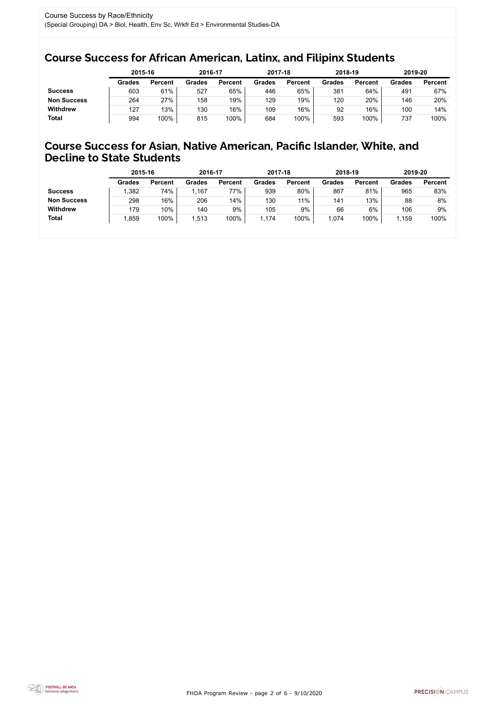FHDA Program Review - page 2 of 6 - 9/10/2020



### Course Success for African American, Latinx, and Filipinx Students

### Course Success for Asian, Native American, Pacific Islander, White, and Decline to State Students

|                    | 2015-16       |                | 2016-17       |                | 2017-18       |                | 2018-19       |                | 2019-20 |                |
|--------------------|---------------|----------------|---------------|----------------|---------------|----------------|---------------|----------------|---------|----------------|
|                    | <b>Grades</b> | <b>Percent</b> | <b>Grades</b> | <b>Percent</b> | <b>Grades</b> | <b>Percent</b> | <b>Grades</b> | <b>Percent</b> | Grades  | <b>Percent</b> |
| <b>Success</b>     | 603           | 61%            | 527           | 65%            | 446           | 65%            | 381           | 64%            | 491     | 67%            |
| <b>Non Success</b> | 264           | 27%            | 158           | 19%            | 129           | 19%            | 120           | 20%            | 146     | 20%            |
| <b>Withdrew</b>    | 127           | 13%            | 130           | 16%            | 109           | 16%            | 92            | 16%            | 100     | 14%            |
| <b>Total</b>       | 994           | 100%           | 815           | 100%           | 684           | 100%           | 593           | 100%           | 737     | 100%           |

|                    | 2015-16       |                | 2016-17       |                | 2017-18       |                | 2018-19       |                | 2019-20       |                |
|--------------------|---------------|----------------|---------------|----------------|---------------|----------------|---------------|----------------|---------------|----------------|
|                    | <b>Grades</b> | <b>Percent</b> | <b>Grades</b> | <b>Percent</b> | <b>Grades</b> | <b>Percent</b> | <b>Grades</b> | <b>Percent</b> | <b>Grades</b> | <b>Percent</b> |
| <b>Success</b>     | ,382          | 74%            | 1,167         | 77%            | 939           | 80%            | 867           | 81%            | 965           | 83%            |
| <b>Non Success</b> | 298           | 16%            | 206           | 14%            | 130           | 11%            | 141           | 13%            | 88            | 8%             |
| <b>Withdrew</b>    | 179           | 10%            | 140           | 9%             | 105           | 9%             | 66            | 6%             | 106           | 9%             |
| <b>Total</b>       | ,859          | 100%           | 1,513         | 100%           | 1,174         | 100%           | ,074          | 100%           | 1,159         | 100%           |
|                    |               |                |               |                |               |                |               |                |               |                |

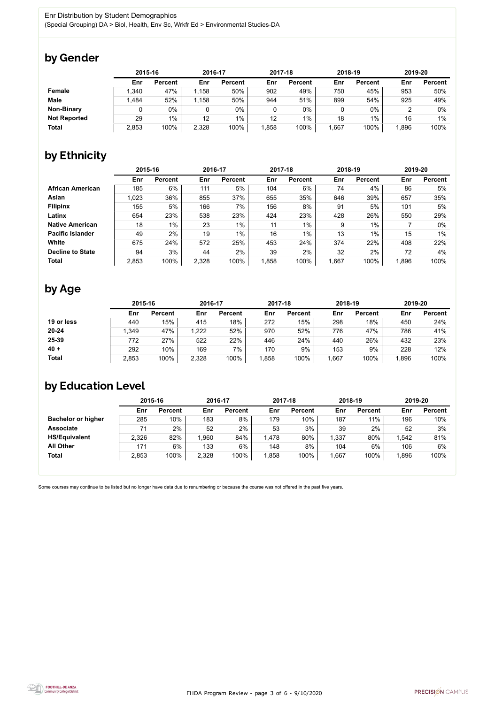FHDA Program Review - page 3 of 6 - 9/10/2020



Some courses may continue to be listed but no longer have data due to renumbering or because the course was not offered in the past five years.



## by Gender

|                     | 2015-16 |                |       | 2016-17        |       | 2017-18        | 2018-19 |                | 2019-20 |                |
|---------------------|---------|----------------|-------|----------------|-------|----------------|---------|----------------|---------|----------------|
|                     | Enr     | <b>Percent</b> | Enr   | <b>Percent</b> | Enr   | <b>Percent</b> | Enr     | <b>Percent</b> | Enr     | <b>Percent</b> |
| <b>Female</b>       | 1,340   | 47%            | 1,158 | 50%            | 902   | 49%            | 750     | 45%            | 953     | 50%            |
| <b>Male</b>         | 1,484   | 52%            | 1,158 | 50%            | 944   | 51%            | 899     | 54%            | 925     | 49%            |
| <b>Non-Binary</b>   |         | 0%             |       | $0\%$          |       | $0\%$          |         | $0\%$          |         | 0%             |
| <b>Not Reported</b> | 29      | $1\%$          | 12    | $1\%$          | 12    | $1\%$          | 18      | 1%             | 16      | 1%             |
| <b>Total</b>        | 2,853   | 100%           | 2,328 | 100%           | 1,858 | 100%           | ,667    | 100%           | 1,896   | 100%           |

## by Ethnicity

|                         |       | 2015-16        |       | 2016-17        |       | 2017-18        |        | 2018-19        | 2019-20 |                |
|-------------------------|-------|----------------|-------|----------------|-------|----------------|--------|----------------|---------|----------------|
|                         | Enr   | <b>Percent</b> | Enr   | <b>Percent</b> | Enr   | <b>Percent</b> | Enr    | <b>Percent</b> | Enr     | <b>Percent</b> |
| <b>African American</b> | 185   | 6%             | 111   | 5%             | 104   | 6%             | 74     | 4%             | 86      | 5%             |
| <b>Asian</b>            | 1,023 | 36%            | 855   | 37%            | 655   | 35%            | 646    | 39%            | 657     | 35%            |
| <b>Filipinx</b>         | 155   | 5%             | 166   | 7%             | 156   | 8%             | 91     | 5%             | 101     | 5%             |
| Latinx                  | 654   | 23%            | 538   | 23%            | 424   | 23%            | 428    | 26%            | 550     | 29%            |
| <b>Native American</b>  | 18    | $1\%$          | 23    | $1\%$          | 11    | $1\%$          | 9      | $1\%$          |         | $0\%$          |
| <b>Pacific Islander</b> | 49    | 2%             | 19    | $1\%$          | 16    | 1%             | 13     | 1%             | 15      | 1%             |
| White                   | 675   | 24%            | 572   | 25%            | 453   | 24%            | 374    | 22%            | 408     | 22%            |
| <b>Decline to State</b> | 94    | 3%             | 44    | 2%             | 39    | 2%             | 32     | 2%             | 72      | 4%             |
| <b>Total</b>            | 2,853 | 100%           | 2,328 | 100%           | 1,858 | 100%           | 667, ا | 100%           | 1,896   | 100%           |

## by Age

|              | 2015-16 |                | 2016-17 |                | 2017-18 |                | 2018-19 |                | 2019-20 |                |
|--------------|---------|----------------|---------|----------------|---------|----------------|---------|----------------|---------|----------------|
|              | Enr     | <b>Percent</b> | Enr     | <b>Percent</b> | Enr     | <b>Percent</b> | Enr     | <b>Percent</b> | Enr     | <b>Percent</b> |
| 19 or less   | 440     | 15%            | 415     | 18%            | 272     | 15%            | 298     | 18%            | 450     | 24%            |
| $20 - 24$    | .349    | 47%            | 1,222   | 52%            | 970     | 52%            | 776     | 47%            | 786     | 41%            |
| 25-39        | 772     | 27%            | 522     | 22%            | 446     | 24%            | 440     | 26%            | 432     | 23%            |
| $40 +$       | 292     | 10%            | 169     | 7%             | 170     | 9%             | 153     | 9%             | 228     | 12%            |
| <b>Total</b> | 2,853   | 100%           | 2,328   | 100%           | ,858    | 100%           | ,667    | 100%           | 1,896   | 100%           |

## by Education Level

|                           | 2015-16 |                |       | 2016-17        |      | 2017-18        | 2018-19 |                | 2019-20 |                |
|---------------------------|---------|----------------|-------|----------------|------|----------------|---------|----------------|---------|----------------|
|                           | Enr     | <b>Percent</b> | Enr   | <b>Percent</b> | Enr  | <b>Percent</b> | Enr     | <b>Percent</b> | Enr     | <b>Percent</b> |
| <b>Bachelor or higher</b> | 285     | 10%            | 183   | 8%             | 179  | 10%            | 187     | 11%            | 196     | 10%            |
| <b>Associate</b>          | 71      | $2\%$          | 52    | 2%             | 53   | 3%             | 39      | 2%             | 52      | 3%             |
| <b>HS/Equivalent</b>      | 2,326   | 82%            | ,960  | 84%            | .478 | 80%            | 1,337   | 80%            | 1,542   | 81%            |
| <b>All Other</b>          | 171     | 6%             | 133   | $6\%$          | 148  | 8%             | 104     | 6%             | 106     | 6%             |
| <b>Total</b>              | 2,853   | 100%           | 2,328 | 100%           | ,858 | 100%           | .667    | 100%           | 1,896   | 100%           |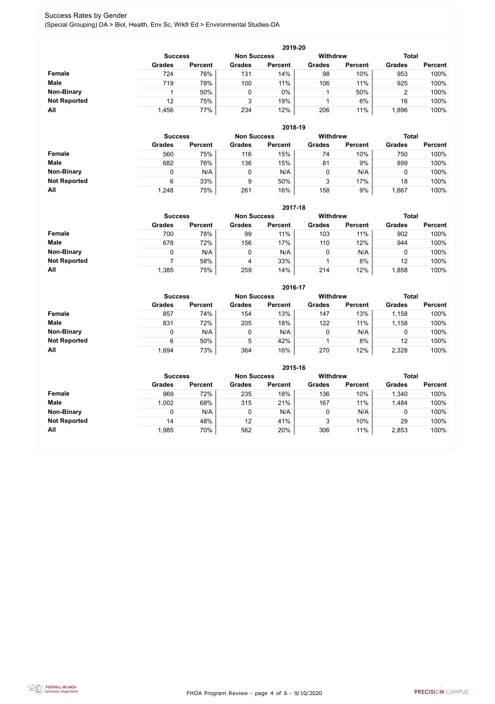FHDA Program Review - page 4 of 6 - 9/10/2020



#### Success Rates by Gender (Special Grouping) DA > Biol, Health, Env Sc, Wrkfr Ed > Environmental Studies-DA

|                     | 2019-20        |                |                    |                |                 |                |                |                |  |  |  |  |  |
|---------------------|----------------|----------------|--------------------|----------------|-----------------|----------------|----------------|----------------|--|--|--|--|--|
|                     | <b>Success</b> |                | <b>Non Success</b> |                | <b>Withdrew</b> |                | <b>Total</b>   |                |  |  |  |  |  |
|                     | <b>Grades</b>  | <b>Percent</b> | <b>Grades</b>      | <b>Percent</b> | <b>Grades</b>   | <b>Percent</b> | <b>Grades</b>  | <b>Percent</b> |  |  |  |  |  |
| Female              | 724            | 76%            | 131                | 14%            | 98              | 10%            | 953            | 100%           |  |  |  |  |  |
| <b>Male</b>         | 719            | 78%            | 100                | 11%            | 106             | 11%            | 925            | 100%           |  |  |  |  |  |
| <b>Non-Binary</b>   |                | 50%            |                    | $0\%$          |                 | 50%            | $\overline{2}$ | 100%           |  |  |  |  |  |
| <b>Not Reported</b> | 12             | 75%            | 3                  | 19%            |                 | 6%             | 16             | 100%           |  |  |  |  |  |
| All                 | 1,456          | 77%            | 234                | 12%            | 206             | 11%            | ,896           | 100%           |  |  |  |  |  |

|                     |               | 2018-19                              |               |                |               |                 |               |                |  |  |  |  |  |  |
|---------------------|---------------|--------------------------------------|---------------|----------------|---------------|-----------------|---------------|----------------|--|--|--|--|--|--|
|                     |               | <b>Non Success</b><br><b>Success</b> |               |                |               | <b>Withdrew</b> | <b>Total</b>  |                |  |  |  |  |  |  |
|                     | <b>Grades</b> | <b>Percent</b>                       | <b>Grades</b> | <b>Percent</b> | <b>Grades</b> | <b>Percent</b>  | <b>Grades</b> | <b>Percent</b> |  |  |  |  |  |  |
| <b>Female</b>       | 560           | 75%                                  | 116           | 15%            | 74            | 10%             | 750           | 100%           |  |  |  |  |  |  |
| <b>Male</b>         | 682           | 76%                                  | 136           | 15%            | 81            | 9%              | 899           | 100%           |  |  |  |  |  |  |
| <b>Non-Binary</b>   | 0             | N/A                                  | 0             | N/A            | 0             | N/A             |               | 100%           |  |  |  |  |  |  |
| <b>Not Reported</b> | 6             | 33%                                  | 9             | 50%            | 3             | 17%             | 18            | 100%           |  |  |  |  |  |  |
| All                 | 1,248         | 75%                                  | 261           | 16%            | 158           | 9%              | ,667          | 100%           |  |  |  |  |  |  |

|                     |                | 2017-18        |                    |                |                 |                |               |                |  |  |  |  |  |  |
|---------------------|----------------|----------------|--------------------|----------------|-----------------|----------------|---------------|----------------|--|--|--|--|--|--|
|                     | <b>Success</b> |                | <b>Non Success</b> |                | <b>Withdrew</b> | <b>Total</b>   |               |                |  |  |  |  |  |  |
|                     | <b>Grades</b>  | <b>Percent</b> | <b>Grades</b>      | <b>Percent</b> | <b>Grades</b>   | <b>Percent</b> | <b>Grades</b> | <b>Percent</b> |  |  |  |  |  |  |
| Female              | 700            | 78%            | 99                 | 11%            | 103             | 11%            | 902           | 100%           |  |  |  |  |  |  |
| <b>Male</b>         | 678            | 72%            | 156                | 17%            | 110             | 12%            | 944           | 100%           |  |  |  |  |  |  |
| <b>Non-Binary</b>   | 0              | N/A            | 0                  | N/A            | 0               | N/A            | 0             | 100%           |  |  |  |  |  |  |
| <b>Not Reported</b> |                | 58%            | 4                  | 33%            |                 | 8%             | 12            | 100%           |  |  |  |  |  |  |
| All                 | .385           | 75%            | 259                | 14%            | 214             | 12%            | ,858          | 100%           |  |  |  |  |  |  |

|                     |               |                |               | 2016-17        |                 |                |               |                |
|---------------------|---------------|----------------|---------------|----------------|-----------------|----------------|---------------|----------------|
|                     |               | <b>Success</b> |               |                | <b>Withdrew</b> |                | <b>Total</b>  |                |
|                     | <b>Grades</b> | <b>Percent</b> | <b>Grades</b> | <b>Percent</b> | <b>Grades</b>   | <b>Percent</b> | <b>Grades</b> | <b>Percent</b> |
| <b>Female</b>       | 857           | 74%            | 154           | 13%            | 147             | 13%            | 1,158         | 100%           |
| <b>Male</b>         | 831           | 72%            | 205           | 18%            | 122             | 11%            | 1,158         | 100%           |
| <b>Non-Binary</b>   | 0             | N/A            |               | N/A            | 0               | N/A            | 0             | 100%           |
| <b>Not Reported</b> | 6             | 50%            | 5             | 42%            |                 | 8%             | 12            | 100%           |
| All                 | 1,694         | 73%            | 364           | 16%            | 270             | 12%            | 2,328         | 100%           |

|                     |                                                         |                |               | 2015-16        |               |                |               |                |
|---------------------|---------------------------------------------------------|----------------|---------------|----------------|---------------|----------------|---------------|----------------|
|                     | <b>Withdrew</b><br><b>Non Success</b><br><b>Success</b> |                |               |                |               |                |               | <b>Total</b>   |
|                     | <b>Grades</b>                                           | <b>Percent</b> | <b>Grades</b> | <b>Percent</b> | <b>Grades</b> | <b>Percent</b> | <b>Grades</b> | <b>Percent</b> |
| Female              | 969                                                     | 72%            | 235           | 18%            | 136           | 10%            | 1,340         | 100%           |
| <b>Male</b>         | 1,002                                                   | 68%            | 315           | 21%            | 167           | 11%            | 1,484         | 100%           |
| <b>Non-Binary</b>   |                                                         | N/A            | 0             | N/A            |               | N/A            | 0             | 100%           |
| <b>Not Reported</b> | 14                                                      | 48%            | 12            | 41%            | 3             | 10%            | 29            | 100%           |
| All                 | 1,985                                                   | 70%            | 562           | 20%            | 306           | 11%            | 2,853         | 100%           |

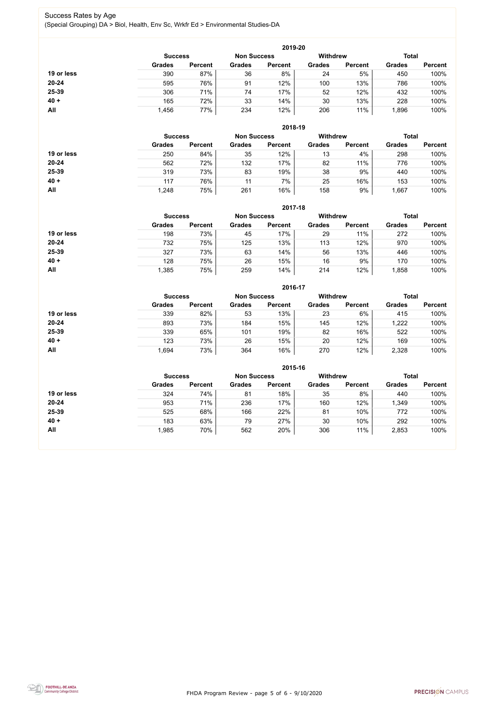FHDA Program Review - page 5 of 6 - 9/10/2020



#### Success Rates by Age (Special Grouping) DA > Biol, Health, Env Sc, Wrkfr Ed > Environmental Studies-DA

|            |                |                    |               | 2019-20         |               |                |               |                |
|------------|----------------|--------------------|---------------|-----------------|---------------|----------------|---------------|----------------|
|            | <b>Success</b> | <b>Non Success</b> |               | <b>Withdrew</b> |               | <b>Total</b>   |               |                |
|            | <b>Grades</b>  | <b>Percent</b>     | <b>Grades</b> | <b>Percent</b>  | <b>Grades</b> | <b>Percent</b> | <b>Grades</b> | <b>Percent</b> |
| 19 or less | 390            | 87%                | 36            | 8%              | 24            | 5%             | 450           | 100%           |
| $20 - 24$  | 595            | 76%                | 91            | 12%             | 100           | 13%            | 786           | 100%           |
| 25-39      | 306            | 71%                | 74            | 17%             | 52            | 12%            | 432           | 100%           |
| $40 +$     | 165            | 72%                | 33            | 14%             | 30            | 13%            | 228           | 100%           |
| All        | 1,456          | 77%                | 234           | 12%             | 206           | 11%            | ,896          | 100%           |

|            |                |                |               | 2018-19            |                 |                |               |                |
|------------|----------------|----------------|---------------|--------------------|-----------------|----------------|---------------|----------------|
|            | <b>Success</b> |                |               | <b>Non Success</b> | <b>Withdrew</b> |                | <b>Total</b>  |                |
|            | <b>Grades</b>  | <b>Percent</b> | <b>Grades</b> | <b>Percent</b>     | <b>Grades</b>   | <b>Percent</b> | <b>Grades</b> | <b>Percent</b> |
| 19 or less | 250            | 84%            | 35            | 12%                | 13              | 4%             | 298           | 100%           |
| $20 - 24$  | 562            | 72%            | 132           | 17%                | 82              | 11%            | 776           | 100%           |
| 25-39      | 319            | 73%            | 83            | 19%                | 38              | 9%             | 440           | 100%           |
| $40 +$     | 117            | 76%            | 11            | 7%                 | 25              | 16%            | 153           | 100%           |
| All        | 1,248          | 75%            | 261           | 16%                | 158             | 9%             | ,667          | 100%           |

|            |                                      |                |               | 2017-18        |                 |                |               |                |
|------------|--------------------------------------|----------------|---------------|----------------|-----------------|----------------|---------------|----------------|
|            | <b>Non Success</b><br><b>Success</b> |                |               |                | <b>Withdrew</b> |                | <b>Total</b>  |                |
|            | <b>Grades</b>                        | <b>Percent</b> | <b>Grades</b> | <b>Percent</b> | <b>Grades</b>   | <b>Percent</b> | <b>Grades</b> | <b>Percent</b> |
| 19 or less | 198                                  | 73%            | 45            | 17%            | 29              | 11%            | 272           | 100%           |
| $20 - 24$  | 732                                  | 75%            | 125           | 13%            | 113             | 12%            | 970           | 100%           |
| 25-39      | 327                                  | 73%            | 63            | 14%            | 56              | 13%            | 446           | 100%           |
| $40 +$     | 128                                  | 75%            | 26            | 15%            | 16              | 9%             | 170           | 100%           |
| All        | .385                                 | 75%            | 259           | 14%            | 214             | 12%            | ,858          | 100%           |

|            |                                      |                |               | 2016-17        |                 |                |               |                |
|------------|--------------------------------------|----------------|---------------|----------------|-----------------|----------------|---------------|----------------|
|            | <b>Non Success</b><br><b>Success</b> |                |               |                | <b>Withdrew</b> |                | <b>Total</b>  |                |
|            | <b>Grades</b>                        | <b>Percent</b> | <b>Grades</b> | <b>Percent</b> | <b>Grades</b>   | <b>Percent</b> | <b>Grades</b> | <b>Percent</b> |
| 19 or less | 339                                  | 82%            | 53            | 13%            | 23              | 6%             | 415           | 100%           |
| 20-24      | 893                                  | 73%            | 184           | 15%            | 145             | 12%            | 1,222         | 100%           |
| 25-39      | 339                                  | 65%            | 101           | 19%            | 82              | 16%            | 522           | 100%           |
| $40 +$     | 123                                  | 73%            | 26            | 15%            | 20              | 12%            | 169           | 100%           |
| All        | 1,694                                | 73%            | 364           | 16%            | 270             | 12%            | 2,328         | 100%           |

|            |                                                         |                |               | 2015-16        |               |                |               |                |
|------------|---------------------------------------------------------|----------------|---------------|----------------|---------------|----------------|---------------|----------------|
|            | <b>Withdrew</b><br><b>Non Success</b><br><b>Success</b> |                |               |                |               |                |               | <b>Total</b>   |
|            | <b>Grades</b>                                           | <b>Percent</b> | <b>Grades</b> | <b>Percent</b> | <b>Grades</b> | <b>Percent</b> | <b>Grades</b> | <b>Percent</b> |
| 19 or less | 324                                                     | 74%            | 81            | 18%            | 35            | 8%             | 440           | 100%           |
| $20 - 24$  | 953                                                     | 71%            | 236           | 17%            | 160           | 12%            | 1,349         | 100%           |
| 25-39      | 525                                                     | 68%            | 166           | 22%            | 81            | 10%            | 772           | 100%           |
| $40 +$     | 183                                                     | 63%            | 79            | 27%            | 30            | 10%            | 292           | 100%           |
| All        | 1,985                                                   | 70%            | 562           | 20%            | 306           | 11%            | 2,853         | 100%           |